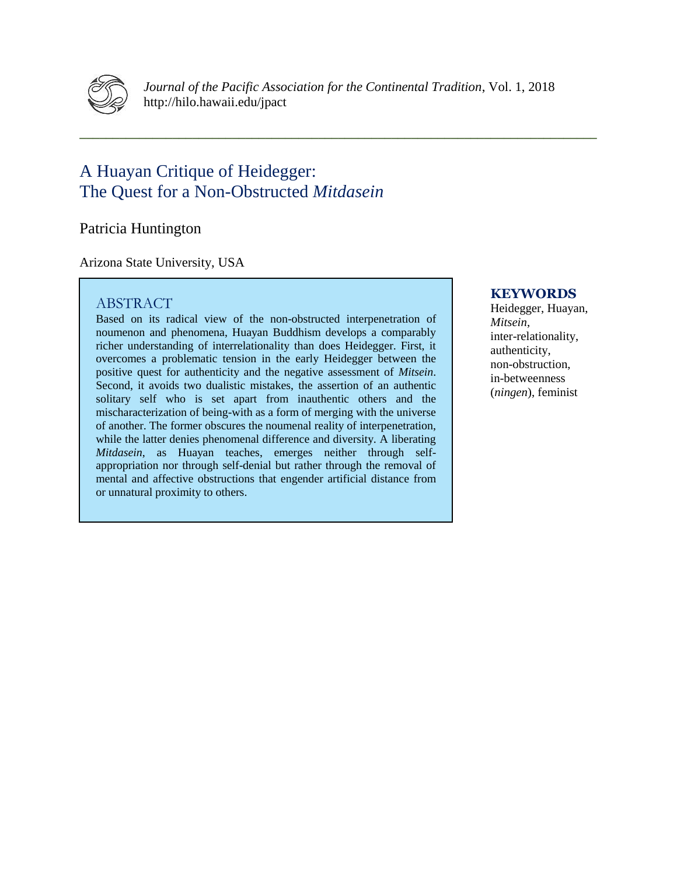

*Journal of the Pacific Association for the Continental Tradition*, Vol. 1, 2018 http://hilo.hawaii.edu/jpact

**\_\_\_\_\_\_\_\_\_\_\_\_\_\_\_\_\_\_\_\_\_\_\_\_\_\_\_\_\_\_\_\_\_\_\_\_\_\_\_\_\_\_\_\_\_\_\_\_\_\_\_\_\_\_\_\_\_\_\_\_\_\_\_\_\_\_\_\_\_\_\_\_\_\_\_\_\_\_**

# A Huayan Critique of Heidegger: The Quest for a Non-Obstructed *Mitdasein*

Patricia Huntington

Arizona State University, USA

# ABSTRACT

Based on its radical view of the non-obstructed interpenetration of noumenon and phenomena, Huayan Buddhism develops a comparably richer understanding of interrelationality than does Heidegger. First, it overcomes a problematic tension in the early Heidegger between the positive quest for authenticity and the negative assessment of *Mitsein*. Second, it avoids two dualistic mistakes, the assertion of an authentic solitary self who is set apart from inauthentic others and the mischaracterization of being-with as a form of merging with the universe of another. The former obscures the noumenal reality of interpenetration, while the latter denies phenomenal difference and diversity. A liberating *Mitdasein*, as Huayan teaches, emerges neither through selfappropriation nor through self-denial but rather through the removal of mental and affective obstructions that engender artificial distance from or unnatural proximity to others.

#### **KEYWORDS**

Heidegger, Huayan, *Mitsein*, inter-relationality, authenticity, non-obstruction, in-betweenness (*ningen*), feminist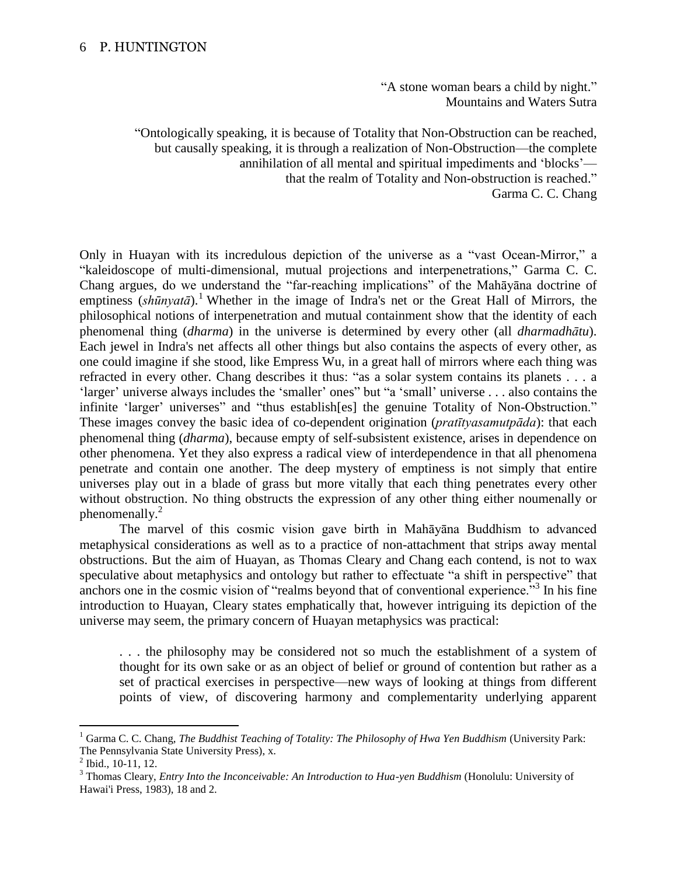"A stone woman bears a child by night." Mountains and Waters Sutra

"Ontologically speaking, it is because of Totality that Non-Obstruction can be reached, but causally speaking, it is through a realization of Non-Obstruction—the complete annihilation of all mental and spiritual impediments and 'blocks' that the realm of Totality and Non-obstruction is reached." Garma C. C. Chang

Only in Huayan with its incredulous depiction of the universe as a "vast Ocean-Mirror," a "kaleidoscope of multi-dimensional, mutual projections and interpenetrations," Garma C. C. Chang argues, do we understand the "far-reaching implications" of the Mahāyāna doctrine of emptiness (*shūnyatā*). <sup>1</sup> Whether in the image of Indra's net or the Great Hall of Mirrors, the philosophical notions of interpenetration and mutual containment show that the identity of each phenomenal thing (*dharma*) in the universe is determined by every other (all *dharmadhātu*). Each jewel in Indra's net affects all other things but also contains the aspects of every other, as one could imagine if she stood, like Empress Wu, in a great hall of mirrors where each thing was refracted in every other. Chang describes it thus: "as a solar system contains its planets . . . a 'larger' universe always includes the 'smaller' ones" but "a 'small' universe . . . also contains the infinite 'larger' universes" and "thus establish[es] the genuine Totality of Non-Obstruction." These images convey the basic idea of co-dependent origination (*pratītyasamutpāda*): that each phenomenal thing (*dharma*), because empty of self-subsistent existence, arises in dependence on other phenomena. Yet they also express a radical view of interdependence in that all phenomena penetrate and contain one another. The deep mystery of emptiness is not simply that entire universes play out in a blade of grass but more vitally that each thing penetrates every other without obstruction. No thing obstructs the expression of any other thing either noumenally or phenomenally.<sup>2</sup>

The marvel of this cosmic vision gave birth in Mahāyāna Buddhism to advanced metaphysical considerations as well as to a practice of non-attachment that strips away mental obstructions. But the aim of Huayan, as Thomas Cleary and Chang each contend, is not to wax speculative about metaphysics and ontology but rather to effectuate "a shift in perspective" that anchors one in the cosmic vision of "realms beyond that of conventional experience."<sup>3</sup> In his fine introduction to Huayan, Cleary states emphatically that, however intriguing its depiction of the universe may seem, the primary concern of Huayan metaphysics was practical:

. . . the philosophy may be considered not so much the establishment of a system of thought for its own sake or as an object of belief or ground of contention but rather as a set of practical exercises in perspective—new ways of looking at things from different points of view, of discovering harmony and complementarity underlying apparent

<sup>1</sup> Garma C. C. Chang, *The Buddhist Teaching of Totality: The Philosophy of Hwa Yen Buddhism* (University Park: The Pennsylvania State University Press), x.

<sup>&</sup>lt;sup>2</sup> Ibid., 10-11, 12.

<sup>3</sup> Thomas Cleary, *Entry Into the Inconceivable: An Introduction to Hua-yen Buddhism* (Honolulu: University of Hawai'i Press, 1983), 18 and 2.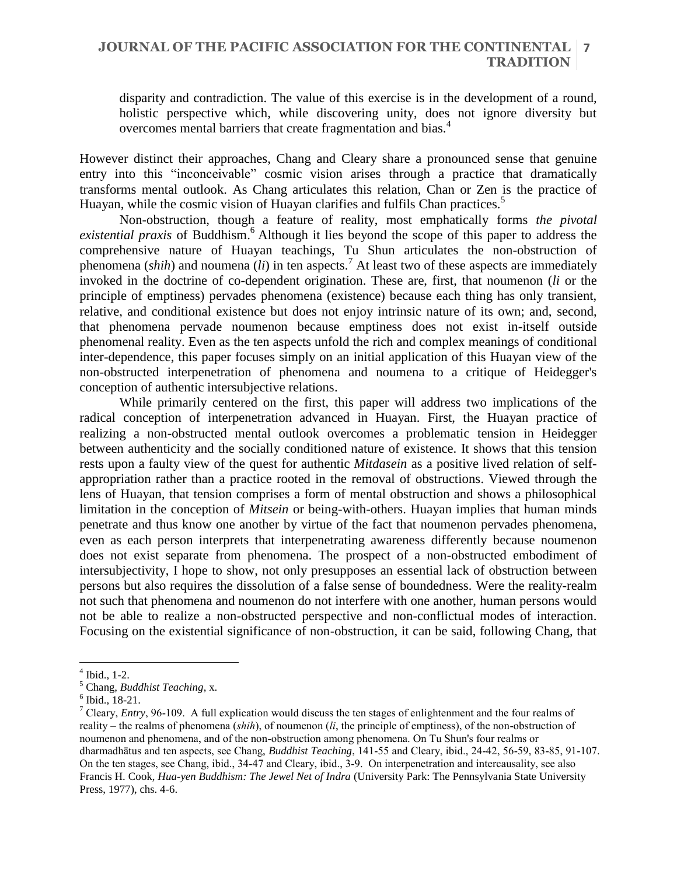# **JOURNAL OF THE PACIFIC ASSOCIATION FOR THE CONTINENTAL 7 TRADITION**

disparity and contradiction. The value of this exercise is in the development of a round, holistic perspective which, while discovering unity, does not ignore diversity but overcomes mental barriers that create fragmentation and bias.<sup>4</sup>

However distinct their approaches, Chang and Cleary share a pronounced sense that genuine entry into this "inconceivable" cosmic vision arises through a practice that dramatically transforms mental outlook. As Chang articulates this relation, Chan or Zen is the practice of Huayan, while the cosmic vision of Huayan clarifies and fulfils Chan practices.<sup>5</sup>

Non-obstruction, though a feature of reality, most emphatically forms *the pivotal existential praxis* of Buddhism. <sup>6</sup> Although it lies beyond the scope of this paper to address the comprehensive nature of Huayan teachings, Tu Shun articulates the non-obstruction of phenomena (*shih*) and noumena (*li*) in ten aspects.<sup>7</sup> At least two of these aspects are immediately invoked in the doctrine of co-dependent origination. These are, first, that noumenon (*li* or the principle of emptiness) pervades phenomena (existence) because each thing has only transient, relative, and conditional existence but does not enjoy intrinsic nature of its own; and, second, that phenomena pervade noumenon because emptiness does not exist in-itself outside phenomenal reality. Even as the ten aspects unfold the rich and complex meanings of conditional inter-dependence, this paper focuses simply on an initial application of this Huayan view of the non-obstructed interpenetration of phenomena and noumena to a critique of Heidegger's conception of authentic intersubjective relations.

While primarily centered on the first, this paper will address two implications of the radical conception of interpenetration advanced in Huayan. First, the Huayan practice of realizing a non-obstructed mental outlook overcomes a problematic tension in Heidegger between authenticity and the socially conditioned nature of existence. It shows that this tension rests upon a faulty view of the quest for authentic *Mitdasein* as a positive lived relation of selfappropriation rather than a practice rooted in the removal of obstructions. Viewed through the lens of Huayan, that tension comprises a form of mental obstruction and shows a philosophical limitation in the conception of *Mitsein* or being-with-others. Huayan implies that human minds penetrate and thus know one another by virtue of the fact that noumenon pervades phenomena, even as each person interprets that interpenetrating awareness differently because noumenon does not exist separate from phenomena. The prospect of a non-obstructed embodiment of intersubjectivity, I hope to show, not only presupposes an essential lack of obstruction between persons but also requires the dissolution of a false sense of boundedness. Were the reality-realm not such that phenomena and noumenon do not interfere with one another, human persons would not be able to realize a non-obstructed perspective and non-conflictual modes of interaction. Focusing on the existential significance of non-obstruction, it can be said, following Chang, that

<sup>4</sup> Ibid., 1-2.

<sup>5</sup> Chang, *Buddhist Teaching*, x.

<sup>6</sup> Ibid., 18-21.

<sup>7</sup> Cleary, *Entry*, 96-109. A full explication would discuss the ten stages of enlightenment and the four realms of reality – the realms of phenomena (*shih*), of noumenon (*li*, the principle of emptiness), of the non-obstruction of noumenon and phenomena, and of the non-obstruction among phenomena. On Tu Shun's four realms or dharmadhātus and ten aspects, see Chang, *Buddhist Teaching*, 141-55 and Cleary, ibid., 24-42, 56-59, 83-85, 91-107. On the ten stages, see Chang, ibid., 34-47 and Cleary, ibid., 3-9. On interpenetration and intercausality, see also Francis H. Cook, *Hua-yen Buddhism: The Jewel Net of Indra* (University Park: The Pennsylvania State University Press, 1977), chs. 4-6.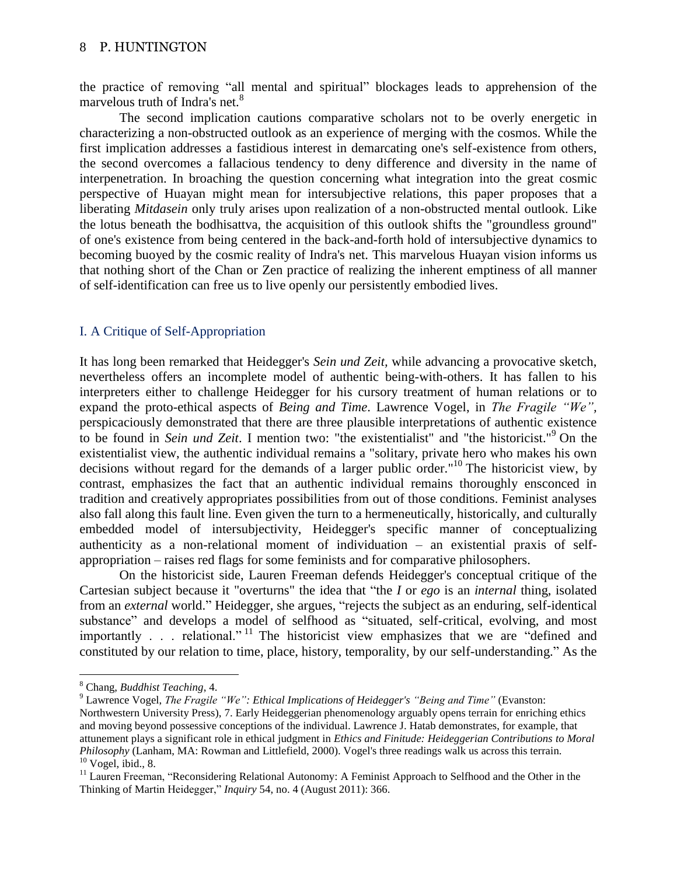the practice of removing "all mental and spiritual" blockages leads to apprehension of the marvelous truth of Indra's net.<sup>8</sup>

The second implication cautions comparative scholars not to be overly energetic in characterizing a non-obstructed outlook as an experience of merging with the cosmos. While the first implication addresses a fastidious interest in demarcating one's self-existence from others, the second overcomes a fallacious tendency to deny difference and diversity in the name of interpenetration. In broaching the question concerning what integration into the great cosmic perspective of Huayan might mean for intersubjective relations, this paper proposes that a liberating *Mitdasein* only truly arises upon realization of a non-obstructed mental outlook. Like the lotus beneath the bodhisattva, the acquisition of this outlook shifts the "groundless ground" of one's existence from being centered in the back-and-forth hold of intersubjective dynamics to becoming buoyed by the cosmic reality of Indra's net. This marvelous Huayan vision informs us that nothing short of the Chan or Zen practice of realizing the inherent emptiness of all manner of self-identification can free us to live openly our persistently embodied lives.

# I. A Critique of Self-Appropriation

It has long been remarked that Heidegger's *Sein und Zeit,* while advancing a provocative sketch, nevertheless offers an incomplete model of authentic being-with-others. It has fallen to his interpreters either to challenge Heidegger for his cursory treatment of human relations or to expand the proto-ethical aspects of *Being and Time*. Lawrence Vogel, in *The Fragile "We",*  perspicaciously demonstrated that there are three plausible interpretations of authentic existence to be found in *Sein und Zeit*. I mention two: "the existentialist" and "the historicist."<sup>9</sup> On the existentialist view, the authentic individual remains a "solitary, private hero who makes his own decisions without regard for the demands of a larger public order."<sup>10</sup> The historicist view, by contrast, emphasizes the fact that an authentic individual remains thoroughly ensconced in tradition and creatively appropriates possibilities from out of those conditions. Feminist analyses also fall along this fault line. Even given the turn to a hermeneutically, historically, and culturally embedded model of intersubjectivity, Heidegger's specific manner of conceptualizing authenticity as a non-relational moment of individuation – an existential praxis of selfappropriation – raises red flags for some feminists and for comparative philosophers.

On the historicist side, Lauren Freeman defends Heidegger's conceptual critique of the Cartesian subject because it "overturns" the idea that "the *I* or *ego* is an *internal* thing, isolated from an *external* world." Heidegger, she argues, "rejects the subject as an enduring, self-identical substance" and develops a model of selfhood as "situated, self-critical, evolving, and most importantly . . . relational." <sup>11</sup> The historicist view emphasizes that we are "defined and constituted by our relation to time, place, history, temporality, by our self-understanding." As the

<sup>8</sup> Chang, *Buddhist Teaching*, 4.

<sup>9</sup> Lawrence Vogel, *The Fragile "We": Ethical Implications of Heidegger's "Being and Time"* (Evanston: Northwestern University Press), 7. Early Heideggerian phenomenology arguably opens terrain for enriching ethics and moving beyond possessive conceptions of the individual. Lawrence J. Hatab demonstrates, for example, that attunement plays a significant role in ethical judgment in *Ethics and Finitude: Heideggerian Contributions to Moral Philosophy* (Lanham, MA: Rowman and Littlefield, 2000). Vogel's three readings walk us across this terrain.  $10$  Vogel, ibid., 8.

<sup>&</sup>lt;sup>11</sup> Lauren Freeman, "Reconsidering Relational Autonomy: A Feminist Approach to Selfhood and the Other in the Thinking of Martin Heidegger," *Inquiry* 54, no. 4 (August 2011): 366.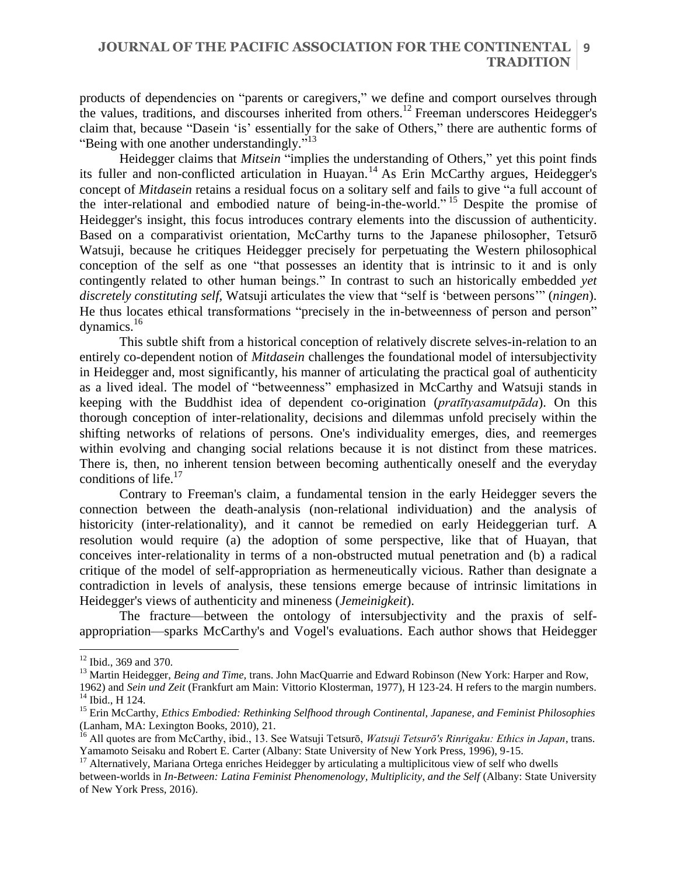# **JOURNAL OF THE PACIFIC ASSOCIATION FOR THE CONTINENTAL 9 TRADITION**

products of dependencies on "parents or caregivers," we define and comport ourselves through the values, traditions, and discourses inherited from others.<sup>12</sup> Freeman underscores Heidegger's claim that, because "Dasein 'is' essentially for the sake of Others," there are authentic forms of "Being with one another understandingly."<sup>13</sup>

Heidegger claims that *Mitsein* "implies the understanding of Others," yet this point finds its fuller and non-conflicted articulation in Huayan.<sup>14</sup> As Erin McCarthy argues, Heidegger's concept of *Mitdasein* retains a residual focus on a solitary self and fails to give "a full account of the inter-relational and embodied nature of being-in-the-world." <sup>15</sup> Despite the promise of Heidegger's insight, this focus introduces contrary elements into the discussion of authenticity. Based on a comparativist orientation, McCarthy turns to the Japanese philosopher, Tetsurō Watsuji, because he critiques Heidegger precisely for perpetuating the Western philosophical conception of the self as one "that possesses an identity that is intrinsic to it and is only contingently related to other human beings." In contrast to such an historically embedded *yet discretely constituting self*, Watsuji articulates the view that "self is 'between persons'" (*ningen*). He thus locates ethical transformations "precisely in the in-betweenness of person and person" dynamics.<sup>16</sup>

This subtle shift from a historical conception of relatively discrete selves-in-relation to an entirely co-dependent notion of *Mitdasein* challenges the foundational model of intersubjectivity in Heidegger and, most significantly, his manner of articulating the practical goal of authenticity as a lived ideal. The model of "betweenness" emphasized in McCarthy and Watsuji stands in keeping with the Buddhist idea of dependent co-origination (*pratītyasamutpāda*). On this thorough conception of inter-relationality, decisions and dilemmas unfold precisely within the shifting networks of relations of persons. One's individuality emerges, dies, and reemerges within evolving and changing social relations because it is not distinct from these matrices. There is, then, no inherent tension between becoming authentically oneself and the everyday conditions of life.<sup>17</sup>

Contrary to Freeman's claim, a fundamental tension in the early Heidegger severs the connection between the death-analysis (non-relational individuation) and the analysis of historicity (inter-relationality), and it cannot be remedied on early Heideggerian turf. A resolution would require (a) the adoption of some perspective, like that of Huayan, that conceives inter-relationality in terms of a non-obstructed mutual penetration and (b) a radical critique of the model of self-appropriation as hermeneutically vicious. Rather than designate a contradiction in levels of analysis, these tensions emerge because of intrinsic limitations in Heidegger's views of authenticity and mineness (*Jemeinigkeit*).

The fracture—between the ontology of intersubjectivity and the praxis of selfappropriation—sparks McCarthy's and Vogel's evaluations. Each author shows that Heidegger

 $12$  Ibid., 369 and 370.

<sup>&</sup>lt;sup>13</sup> Martin Heidegger, *Being and Time*, trans. John MacQuarrie and Edward Robinson (New York: Harper and Row,

<sup>1962)</sup> and *Sein und Zeit* (Frankfurt am Main: Vittorio Klosterman, 1977), H 123-24. H refers to the margin numbers. <sup>14</sup> Ibid., H 124.

<sup>15</sup> Erin McCarthy, *Ethics Embodied: Rethinking Selfhood through Continental, Japanese, and Feminist Philosophies* (Lanham, MA: Lexington Books, 2010), 21.

<sup>16</sup> All quotes are from McCarthy, ibid., 13. See Watsuji Tetsurō, *Watsuji Tetsurō's Rinrigaku: Ethics in Japan*, trans. Yamamoto Seisaku and Robert E. Carter (Albany: State University of New York Press, 1996), 9-15.

<sup>&</sup>lt;sup>17</sup> Alternatively, Mariana Ortega enriches Heidegger by articulating a multiplicitous view of self who dwells between-worlds in *In-Between: Latina Feminist Phenomenology, Multiplicity, and the Self* (Albany: State University of New York Press, 2016).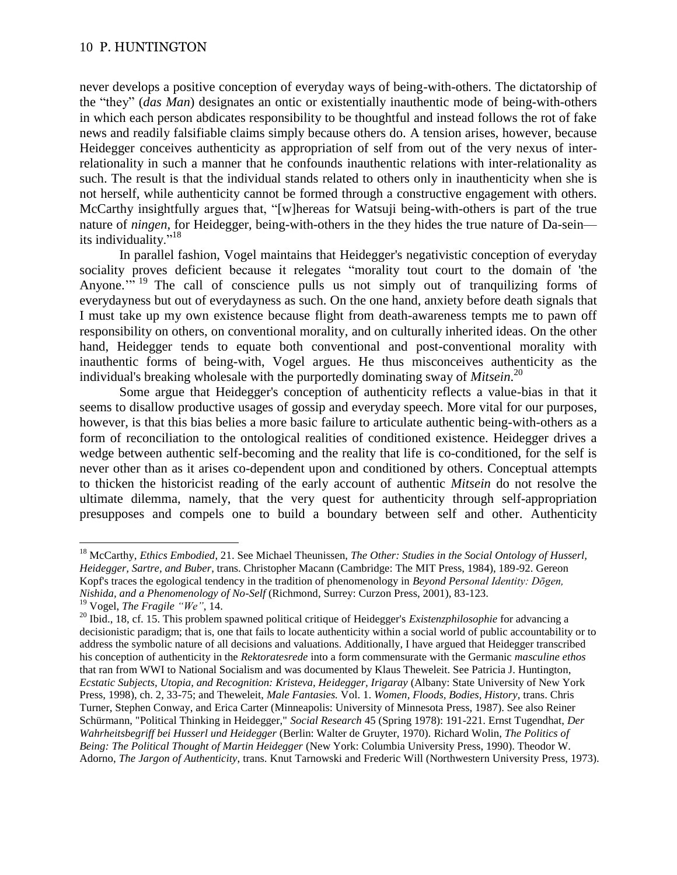never develops a positive conception of everyday ways of being-with-others. The dictatorship of the "they" (*das Man*) designates an ontic or existentially inauthentic mode of being-with-others in which each person abdicates responsibility to be thoughtful and instead follows the rot of fake news and readily falsifiable claims simply because others do. A tension arises, however, because Heidegger conceives authenticity as appropriation of self from out of the very nexus of interrelationality in such a manner that he confounds inauthentic relations with inter-relationality as such. The result is that the individual stands related to others only in inauthenticity when she is not herself, while authenticity cannot be formed through a constructive engagement with others. McCarthy insightfully argues that, "[w]hereas for Watsuji being-with-others is part of the true nature of *ningen*, for Heidegger, being-with-others in the they hides the true nature of Da-sein its individuality."<sup>18</sup>

In parallel fashion, Vogel maintains that Heidegger's negativistic conception of everyday sociality proves deficient because it relegates "morality tout court to the domain of 'the Anyone."<sup>19</sup> The call of conscience pulls us not simply out of tranquilizing forms of everydayness but out of everydayness as such. On the one hand, anxiety before death signals that I must take up my own existence because flight from death-awareness tempts me to pawn off responsibility on others, on conventional morality, and on culturally inherited ideas. On the other hand, Heidegger tends to equate both conventional and post-conventional morality with inauthentic forms of being-with, Vogel argues. He thus misconceives authenticity as the individual's breaking wholesale with the purportedly dominating sway of *Mitsein*. 20

Some argue that Heidegger's conception of authenticity reflects a value-bias in that it seems to disallow productive usages of gossip and everyday speech. More vital for our purposes, however, is that this bias belies a more basic failure to articulate authentic being-with-others as a form of reconciliation to the ontological realities of conditioned existence. Heidegger drives a wedge between authentic self-becoming and the reality that life is co-conditioned, for the self is never other than as it arises co-dependent upon and conditioned by others. Conceptual attempts to thicken the historicist reading of the early account of authentic *Mitsein* do not resolve the ultimate dilemma, namely, that the very quest for authenticity through self-appropriation presupposes and compels one to build a boundary between self and other. Authenticity

<sup>18</sup> McCarthy, *Ethics Embodied*, 21. See Michael Theunissen, *The Other: Studies in the Social Ontology of Husserl, Heidegger, Sartre, and Buber*, trans. Christopher Macann (Cambridge: The MIT Press, 1984), 189-92. Gereon Kopf's traces the egological tendency in the tradition of phenomenology in *Beyond Personal Identity: Dōgen, Nishida, and a Phenomenology of No-Self* (Richmond, Surrey: Curzon Press, 2001), 83-123.

<sup>19</sup> Vogel, *The Fragile "We"*, 14.

<sup>&</sup>lt;sup>20</sup> Ibid., 18, cf. 15. This problem spawned political critique of Heidegger's *Existenzphilosophie* for advancing a decisionistic paradigm; that is, one that fails to locate authenticity within a social world of public accountability or to address the symbolic nature of all decisions and valuations. Additionally, I have argued that Heidegger transcribed his conception of authenticity in the *Rektoratesrede* into a form commensurate with the Germanic *masculine ethos* that ran from WWI to National Socialism and was documented by Klaus Theweleit. See Patricia J. Huntington, *Ecstatic Subjects, Utopia, and Recognition: Kristeva, Heidegger, Irigaray* (Albany: State University of New York Press, 1998), ch. 2, 33-75; and Theweleit, *Male Fantasies.* Vol. 1. *Women, Floods, Bodies, History*, trans. Chris Turner, Stephen Conway, and Erica Carter (Minneapolis: University of Minnesota Press, 1987). See also Reiner Schürmann, "Political Thinking in Heidegger," *Social Research* 45 (Spring 1978): 191-221. Ernst Tugendhat, *Der Wahrheitsbegriff bei Husserl und Heidegger* (Berlin: Walter de Gruyter, 1970). Richard Wolin, *The Politics of Being: The Political Thought of Martin Heidegger* (New York: Columbia University Press, 1990). Theodor W. Adorno, *The Jargon of Authenticity*, trans. Knut Tarnowski and Frederic Will (Northwestern University Press, 1973).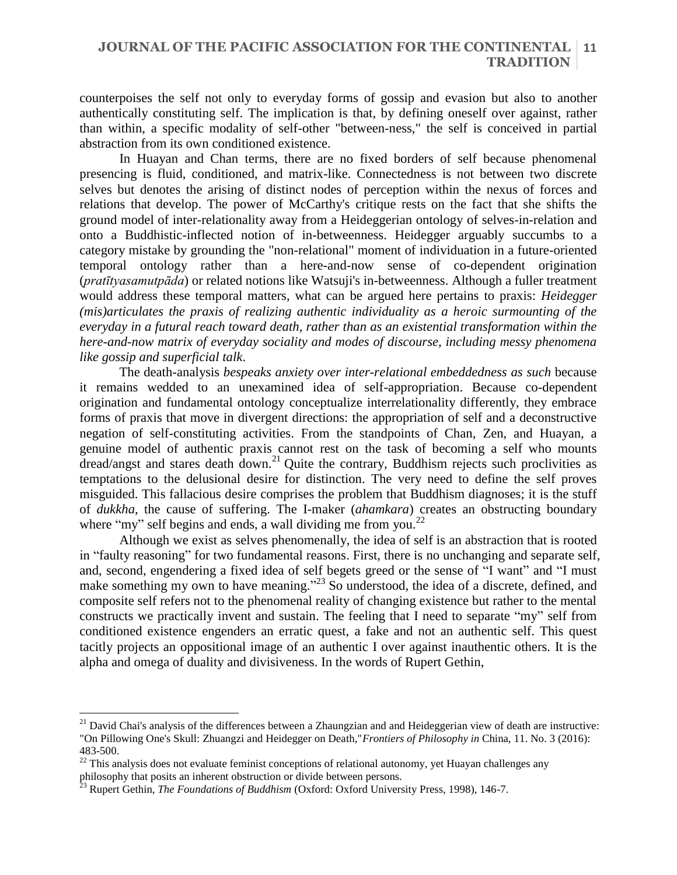counterpoises the self not only to everyday forms of gossip and evasion but also to another authentically constituting self. The implication is that, by defining oneself over against, rather than within, a specific modality of self-other "between-ness," the self is conceived in partial abstraction from its own conditioned existence.

In Huayan and Chan terms, there are no fixed borders of self because phenomenal presencing is fluid, conditioned, and matrix-like. Connectedness is not between two discrete selves but denotes the arising of distinct nodes of perception within the nexus of forces and relations that develop. The power of McCarthy's critique rests on the fact that she shifts the ground model of inter-relationality away from a Heideggerian ontology of selves-in-relation and onto a Buddhistic-inflected notion of in-betweenness. Heidegger arguably succumbs to a category mistake by grounding the "non-relational" moment of individuation in a future-oriented temporal ontology rather than a here-and-now sense of co-dependent origination (*pratītyasamutpāda*) or related notions like Watsuji's in-betweenness. Although a fuller treatment would address these temporal matters, what can be argued here pertains to praxis: *Heidegger (mis)articulates the praxis of realizing authentic individuality as a heroic surmounting of the everyday in a futural reach toward death, rather than as an existential transformation within the here-and-now matrix of everyday sociality and modes of discourse, including messy phenomena like gossip and superficial talk*.

The death-analysis *bespeaks anxiety over inter-relational embeddedness as such* because it remains wedded to an unexamined idea of self-appropriation. Because co-dependent origination and fundamental ontology conceptualize interrelationality differently, they embrace forms of praxis that move in divergent directions: the appropriation of self and a deconstructive negation of self-constituting activities. From the standpoints of Chan, Zen, and Huayan, a genuine model of authentic praxis cannot rest on the task of becoming a self who mounts  $\frac{d}{dt}$  dread/angst and stares death down.<sup>21</sup> Ouite the contrary, Buddhism rejects such proclivities as temptations to the delusional desire for distinction. The very need to define the self proves misguided. This fallacious desire comprises the problem that Buddhism diagnoses; it is the stuff of *dukkha*, the cause of suffering. The I-maker (*ahamkara*) creates an obstructing boundary where "my" self begins and ends, a wall dividing me from you.<sup>22</sup>

Although we exist as selves phenomenally, the idea of self is an abstraction that is rooted in "faulty reasoning" for two fundamental reasons. First, there is no unchanging and separate self, and, second, engendering a fixed idea of self begets greed or the sense of "I want" and "I must make something my own to have meaning."<sup>23</sup> So understood, the idea of a discrete, defined, and composite self refers not to the phenomenal reality of changing existence but rather to the mental constructs we practically invent and sustain. The feeling that I need to separate "my" self from conditioned existence engenders an erratic quest, a fake and not an authentic self. This quest tacitly projects an oppositional image of an authentic I over against inauthentic others. It is the alpha and omega of duality and divisiveness. In the words of Rupert Gethin,

 $21$  David Chai's analysis of the differences between a Zhaungzian and and Heideggerian view of death are instructive: "On Pillowing One's Skull: Zhuangzi and Heidegger on Death,"*Frontiers of Philosophy in* China, 11. No. 3 (2016): 483-500.

 $22$  This analysis does not evaluate feminist conceptions of relational autonomy, yet Huayan challenges any philosophy that posits an inherent obstruction or divide between persons.

<sup>23</sup> Rupert Gethin, *The Foundations of Buddhism* (Oxford: Oxford University Press, 1998), 146-7.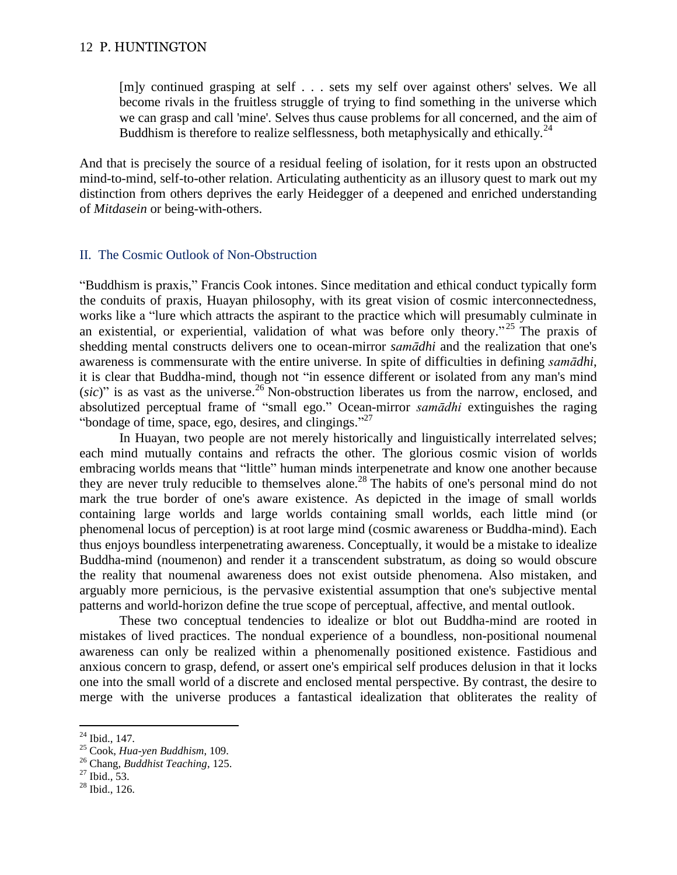[m]y continued grasping at self . . . sets my self over against others' selves. We all become rivals in the fruitless struggle of trying to find something in the universe which we can grasp and call 'mine'. Selves thus cause problems for all concerned, and the aim of Buddhism is therefore to realize selflessness, both metaphysically and ethically.<sup>24</sup>

And that is precisely the source of a residual feeling of isolation, for it rests upon an obstructed mind-to-mind, self-to-other relation. Articulating authenticity as an illusory quest to mark out my distinction from others deprives the early Heidegger of a deepened and enriched understanding of *Mitdasein* or being-with-others.

### II. The Cosmic Outlook of Non-Obstruction

"Buddhism is praxis," Francis Cook intones. Since meditation and ethical conduct typically form the conduits of praxis, Huayan philosophy, with its great vision of cosmic interconnectedness, works like a "lure which attracts the aspirant to the practice which will presumably culminate in an existential, or experiential, validation of what was before only theory."<sup>25</sup> The praxis of shedding mental constructs delivers one to ocean-mirror *samādhi* and the realization that one's awareness is commensurate with the entire universe. In spite of difficulties in defining *samādhi*, it is clear that Buddha-mind, though not "in essence different or isolated from any man's mind  $(sic)$ " is as vast as the universe.<sup>26</sup> Non-obstruction liberates us from the narrow, enclosed, and absolutized perceptual frame of "small ego." Ocean-mirror *samādhi* extinguishes the raging "bondage of time, space, ego, desires, and clingings." $^{27}$ 

In Huayan, two people are not merely historically and linguistically interrelated selves; each mind mutually contains and refracts the other. The glorious cosmic vision of worlds embracing worlds means that "little" human minds interpenetrate and know one another because they are never truly reducible to themselves alone.<sup>28</sup> The habits of one's personal mind do not mark the true border of one's aware existence. As depicted in the image of small worlds containing large worlds and large worlds containing small worlds, each little mind (or phenomenal locus of perception) is at root large mind (cosmic awareness or Buddha-mind). Each thus enjoys boundless interpenetrating awareness. Conceptually, it would be a mistake to idealize Buddha-mind (noumenon) and render it a transcendent substratum, as doing so would obscure the reality that noumenal awareness does not exist outside phenomena. Also mistaken, and arguably more pernicious, is the pervasive existential assumption that one's subjective mental patterns and world-horizon define the true scope of perceptual, affective, and mental outlook.

These two conceptual tendencies to idealize or blot out Buddha-mind are rooted in mistakes of lived practices. The nondual experience of a boundless, non-positional noumenal awareness can only be realized within a phenomenally positioned existence. Fastidious and anxious concern to grasp, defend, or assert one's empirical self produces delusion in that it locks one into the small world of a discrete and enclosed mental perspective. By contrast, the desire to merge with the universe produces a fantastical idealization that obliterates the reality of

 $24$  Ibid., 147.

<sup>25</sup> Cook, *Hua-yen Buddhism*, 109.

<sup>26</sup> Chang, *Buddhist Teaching*, 125.

 $^{27}$  Ibid., 53.

 $^{28}$  Ibid., 126.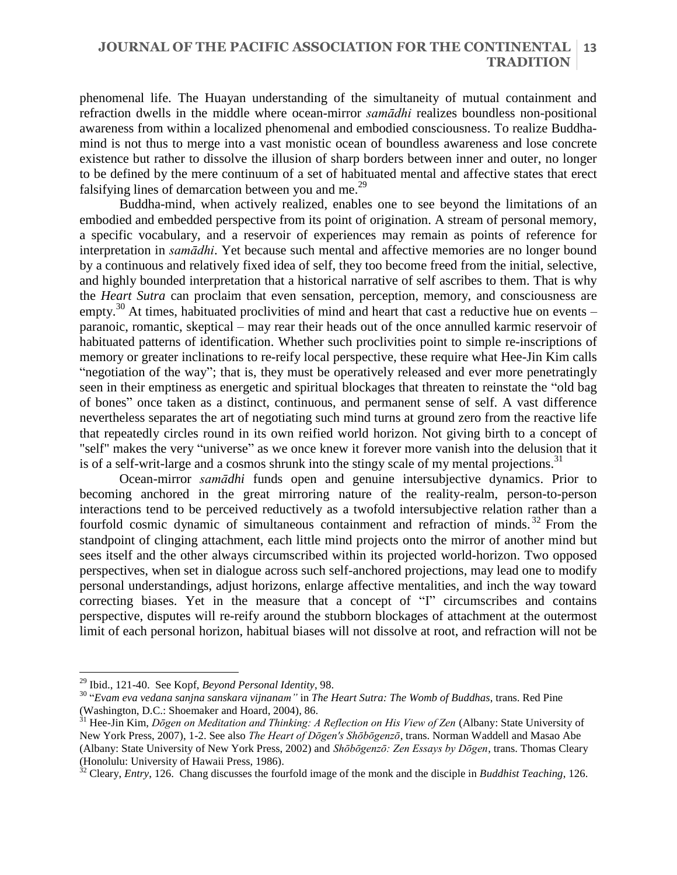#### **JOURNAL OF THE PACIFIC ASSOCIATION FOR THE CONTINENTAL TRADITION 13**

phenomenal life. The Huayan understanding of the simultaneity of mutual containment and refraction dwells in the middle where ocean-mirror *samādhi* realizes boundless non-positional awareness from within a localized phenomenal and embodied consciousness. To realize Buddhamind is not thus to merge into a vast monistic ocean of boundless awareness and lose concrete existence but rather to dissolve the illusion of sharp borders between inner and outer, no longer to be defined by the mere continuum of a set of habituated mental and affective states that erect falsifying lines of demarcation between you and me.<sup>29</sup>

Buddha-mind, when actively realized, enables one to see beyond the limitations of an embodied and embedded perspective from its point of origination. A stream of personal memory, a specific vocabulary, and a reservoir of experiences may remain as points of reference for interpretation in *samādhi*. Yet because such mental and affective memories are no longer bound by a continuous and relatively fixed idea of self, they too become freed from the initial, selective, and highly bounded interpretation that a historical narrative of self ascribes to them. That is why the *Heart Sutra* can proclaim that even sensation, perception, memory, and consciousness are empty.<sup>30</sup> At times, habituated proclivities of mind and heart that cast a reductive hue on events – paranoic, romantic, skeptical – may rear their heads out of the once annulled karmic reservoir of habituated patterns of identification. Whether such proclivities point to simple re-inscriptions of memory or greater inclinations to re-reify local perspective, these require what Hee-Jin Kim calls "negotiation of the way"; that is, they must be operatively released and ever more penetratingly seen in their emptiness as energetic and spiritual blockages that threaten to reinstate the "old bag of bones" once taken as a distinct, continuous, and permanent sense of self. A vast difference nevertheless separates the art of negotiating such mind turns at ground zero from the reactive life that repeatedly circles round in its own reified world horizon. Not giving birth to a concept of "self" makes the very "universe" as we once knew it forever more vanish into the delusion that it is of a self-writ-large and a cosmos shrunk into the stingy scale of my mental projections.<sup>31</sup>

Ocean-mirror *samādhi* funds open and genuine intersubjective dynamics. Prior to becoming anchored in the great mirroring nature of the reality-realm, person-to-person interactions tend to be perceived reductively as a twofold intersubjective relation rather than a fourfold cosmic dynamic of simultaneous containment and refraction of minds. <sup>32</sup> From the standpoint of clinging attachment, each little mind projects onto the mirror of another mind but sees itself and the other always circumscribed within its projected world-horizon. Two opposed perspectives, when set in dialogue across such self-anchored projections, may lead one to modify personal understandings, adjust horizons, enlarge affective mentalities, and inch the way toward correcting biases. Yet in the measure that a concept of "I" circumscribes and contains perspective, disputes will re-reify around the stubborn blockages of attachment at the outermost limit of each personal horizon, habitual biases will not dissolve at root, and refraction will not be

<sup>29</sup> Ibid., 121-40. See Kopf, *Beyond Personal Identity*, 98.

<sup>30</sup> "*Evam eva vedana sanjna sanskara vijnanam"* in *The Heart Sutra: The Womb of Buddhas*, trans. Red Pine (Washington, D.C.: Shoemaker and Hoard, 2004), 86.

<sup>31</sup> Hee-Jin Kim, *Dōgen on Meditation and Thinking: A Reflection on His View of Zen* (Albany: State University of New York Press, 2007), 1-2. See also *The Heart of Dōgen's Shōbōgenzō*, trans. Norman Waddell and Masao Abe (Albany: State University of New York Press, 2002) and *Shōbōgenzō: Zen Essays by Dōgen*, trans. Thomas Cleary (Honolulu: University of Hawaii Press, 1986).

<sup>32</sup> Cleary, *Entry*, 126. Chang discusses the fourfold image of the monk and the disciple in *Buddhist Teaching*, 126.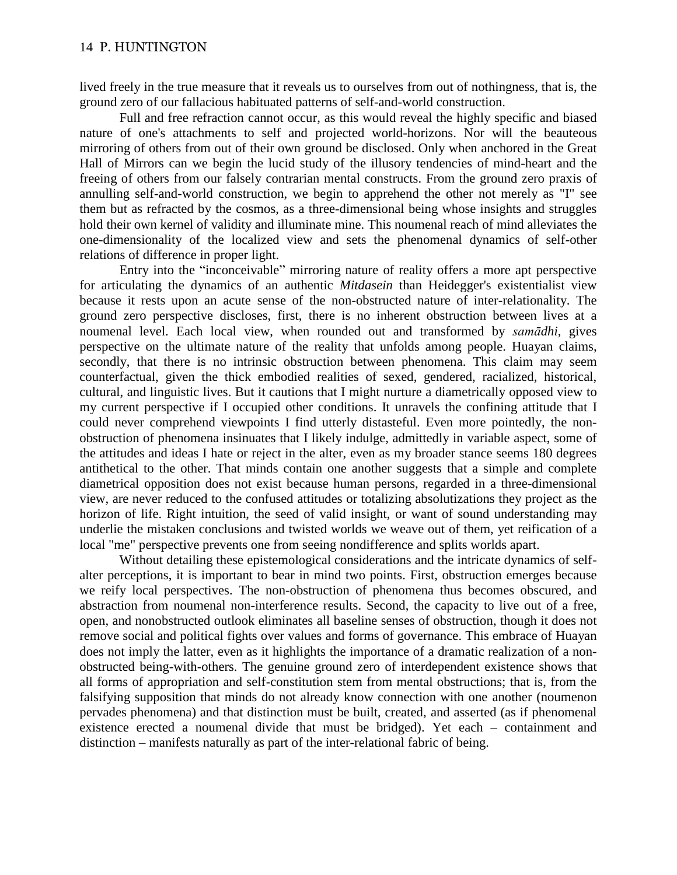lived freely in the true measure that it reveals us to ourselves from out of nothingness, that is, the ground zero of our fallacious habituated patterns of self-and-world construction.

Full and free refraction cannot occur, as this would reveal the highly specific and biased nature of one's attachments to self and projected world-horizons. Nor will the beauteous mirroring of others from out of their own ground be disclosed. Only when anchored in the Great Hall of Mirrors can we begin the lucid study of the illusory tendencies of mind-heart and the freeing of others from our falsely contrarian mental constructs. From the ground zero praxis of annulling self-and-world construction, we begin to apprehend the other not merely as "I" see them but as refracted by the cosmos, as a three-dimensional being whose insights and struggles hold their own kernel of validity and illuminate mine. This noumenal reach of mind alleviates the one-dimensionality of the localized view and sets the phenomenal dynamics of self-other relations of difference in proper light.

Entry into the "inconceivable" mirroring nature of reality offers a more apt perspective for articulating the dynamics of an authentic *Mitdasein* than Heidegger's existentialist view because it rests upon an acute sense of the non-obstructed nature of inter-relationality. The ground zero perspective discloses, first, there is no inherent obstruction between lives at a noumenal level. Each local view, when rounded out and transformed by *samādhi*, gives perspective on the ultimate nature of the reality that unfolds among people. Huayan claims, secondly, that there is no intrinsic obstruction between phenomena. This claim may seem counterfactual, given the thick embodied realities of sexed, gendered, racialized, historical, cultural, and linguistic lives. But it cautions that I might nurture a diametrically opposed view to my current perspective if I occupied other conditions. It unravels the confining attitude that I could never comprehend viewpoints I find utterly distasteful. Even more pointedly, the nonobstruction of phenomena insinuates that I likely indulge, admittedly in variable aspect, some of the attitudes and ideas I hate or reject in the alter, even as my broader stance seems 180 degrees antithetical to the other. That minds contain one another suggests that a simple and complete diametrical opposition does not exist because human persons, regarded in a three-dimensional view, are never reduced to the confused attitudes or totalizing absolutizations they project as the horizon of life. Right intuition, the seed of valid insight, or want of sound understanding may underlie the mistaken conclusions and twisted worlds we weave out of them, yet reification of a local "me" perspective prevents one from seeing nondifference and splits worlds apart.

Without detailing these epistemological considerations and the intricate dynamics of selfalter perceptions, it is important to bear in mind two points. First, obstruction emerges because we reify local perspectives. The non-obstruction of phenomena thus becomes obscured, and abstraction from noumenal non-interference results. Second, the capacity to live out of a free, open, and nonobstructed outlook eliminates all baseline senses of obstruction, though it does not remove social and political fights over values and forms of governance. This embrace of Huayan does not imply the latter, even as it highlights the importance of a dramatic realization of a nonobstructed being-with-others. The genuine ground zero of interdependent existence shows that all forms of appropriation and self-constitution stem from mental obstructions; that is, from the falsifying supposition that minds do not already know connection with one another (noumenon pervades phenomena) and that distinction must be built, created, and asserted (as if phenomenal existence erected a noumenal divide that must be bridged). Yet each – containment and distinction – manifests naturally as part of the inter-relational fabric of being.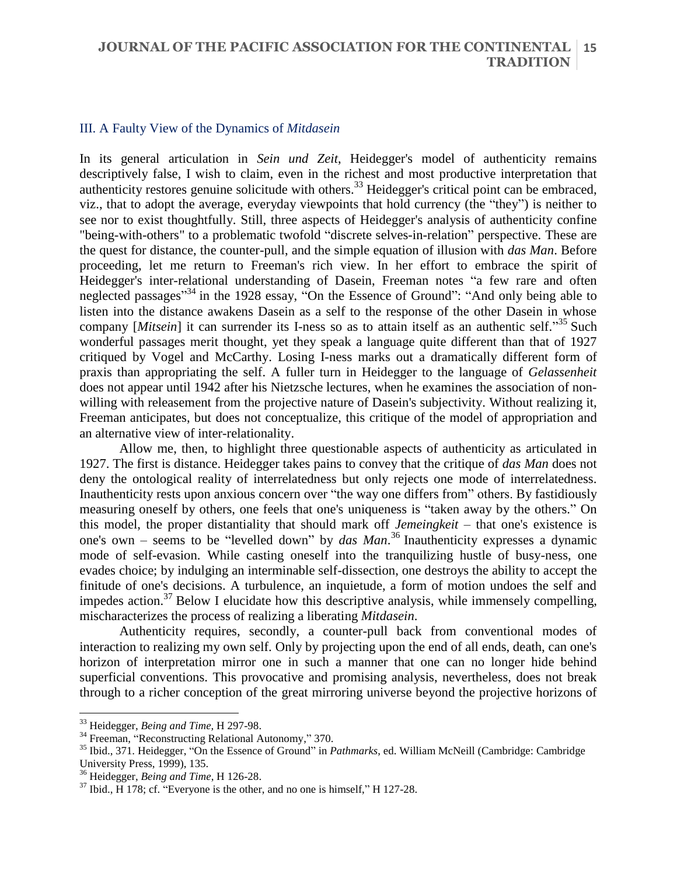#### III. A Faulty View of the Dynamics of *Mitdasein*

In its general articulation in *Sein und Zeit*, Heidegger's model of authenticity remains descriptively false, I wish to claim, even in the richest and most productive interpretation that authenticity restores genuine solicitude with others.<sup>33</sup> Heidegger's critical point can be embraced, viz., that to adopt the average, everyday viewpoints that hold currency (the "they") is neither to see nor to exist thoughtfully. Still, three aspects of Heidegger's analysis of authenticity confine "being-with-others" to a problematic twofold "discrete selves-in-relation" perspective. These are the quest for distance, the counter-pull, and the simple equation of illusion with *das Man*. Before proceeding, let me return to Freeman's rich view. In her effort to embrace the spirit of Heidegger's inter-relational understanding of Dasein, Freeman notes "a few rare and often neglected passages"<sup>34</sup> in the 1928 essay, "On the Essence of Ground": "And only being able to listen into the distance awakens Dasein as a self to the response of the other Dasein in whose company [*Mitsein*] it can surrender its I-ness so as to attain itself as an authentic self."<sup>35</sup> Such wonderful passages merit thought, yet they speak a language quite different than that of 1927 critiqued by Vogel and McCarthy. Losing I-ness marks out a dramatically different form of praxis than appropriating the self. A fuller turn in Heidegger to the language of *Gelassenheit* does not appear until 1942 after his Nietzsche lectures, when he examines the association of nonwilling with releasement from the projective nature of Dasein's subjectivity. Without realizing it, Freeman anticipates, but does not conceptualize, this critique of the model of appropriation and an alternative view of inter-relationality.

Allow me, then, to highlight three questionable aspects of authenticity as articulated in 1927. The first is distance. Heidegger takes pains to convey that the critique of *das Man* does not deny the ontological reality of interrelatedness but only rejects one mode of interrelatedness. Inauthenticity rests upon anxious concern over "the way one differs from" others. By fastidiously measuring oneself by others, one feels that one's uniqueness is "taken away by the others." On this model, the proper distantiality that should mark off *Jemeingkeit* – that one's existence is one's own – seems to be "levelled down" by *das Man*. <sup>36</sup> Inauthenticity expresses a dynamic mode of self-evasion. While casting oneself into the tranquilizing hustle of busy-ness, one evades choice; by indulging an interminable self-dissection, one destroys the ability to accept the finitude of one's decisions. A turbulence, an inquietude, a form of motion undoes the self and impedes action.<sup>37</sup> Below I elucidate how this descriptive analysis, while immensely compelling, mischaracterizes the process of realizing a liberating *Mitdasein*.

Authenticity requires, secondly, a counter-pull back from conventional modes of interaction to realizing my own self. Only by projecting upon the end of all ends, death, can one's horizon of interpretation mirror one in such a manner that one can no longer hide behind superficial conventions. This provocative and promising analysis, nevertheless, does not break through to a richer conception of the great mirroring universe beyond the projective horizons of

<sup>33</sup> Heidegger, *Being and Time,* H 297-98.

<sup>&</sup>lt;sup>34</sup> Freeman, "Reconstructing Relational Autonomy," 370.

<sup>35</sup> Ibid., 371. Heidegger, "On the Essence of Ground" in *Pathmarks*, ed. William McNeill (Cambridge: Cambridge University Press, 1999), 135.

<sup>36</sup> Heidegger, *Being and Time*, H 126-28.

 $37$  Ibid., H 178; cf. "Everyone is the other, and no one is himself," H 127-28.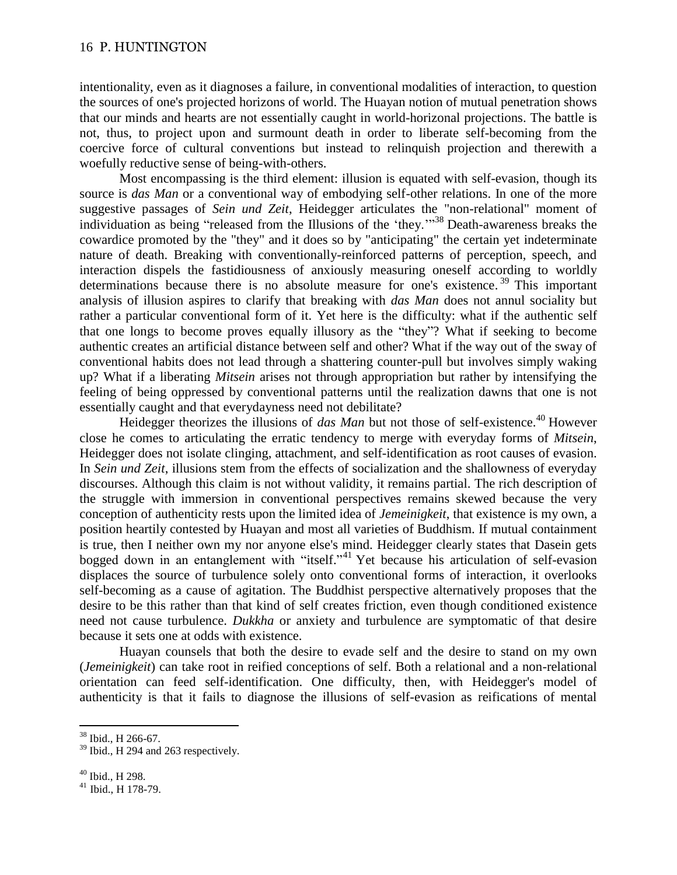intentionality, even as it diagnoses a failure, in conventional modalities of interaction, to question the sources of one's projected horizons of world. The Huayan notion of mutual penetration shows that our minds and hearts are not essentially caught in world-horizonal projections. The battle is not, thus, to project upon and surmount death in order to liberate self-becoming from the coercive force of cultural conventions but instead to relinquish projection and therewith a woefully reductive sense of being-with-others.

Most encompassing is the third element: illusion is equated with self-evasion, though its source is *das Man* or a conventional way of embodying self-other relations. In one of the more suggestive passages of *Sein und Zeit*, Heidegger articulates the "non-relational" moment of individuation as being "released from the Illusions of the 'they.'"<sup>38</sup> Death-awareness breaks the cowardice promoted by the "they" and it does so by "anticipating" the certain yet indeterminate nature of death. Breaking with conventionally-reinforced patterns of perception, speech, and interaction dispels the fastidiousness of anxiously measuring oneself according to worldly determinations because there is no absolute measure for one's existence. <sup>39</sup> This important analysis of illusion aspires to clarify that breaking with *das Man* does not annul sociality but rather a particular conventional form of it. Yet here is the difficulty: what if the authentic self that one longs to become proves equally illusory as the "they"? What if seeking to become authentic creates an artificial distance between self and other? What if the way out of the sway of conventional habits does not lead through a shattering counter-pull but involves simply waking up? What if a liberating *Mitsein* arises not through appropriation but rather by intensifying the feeling of being oppressed by conventional patterns until the realization dawns that one is not essentially caught and that everydayness need not debilitate?

Heidegger theorizes the illusions of *das Man* but not those of self-existence.<sup>40</sup> However close he comes to articulating the erratic tendency to merge with everyday forms of *Mitsein*, Heidegger does not isolate clinging, attachment, and self-identification as root causes of evasion. In *Sein und Zeit*, illusions stem from the effects of socialization and the shallowness of everyday discourses. Although this claim is not without validity, it remains partial. The rich description of the struggle with immersion in conventional perspectives remains skewed because the very conception of authenticity rests upon the limited idea of *Jemeinigkeit*, that existence is my own, a position heartily contested by Huayan and most all varieties of Buddhism. If mutual containment is true, then I neither own my nor anyone else's mind. Heidegger clearly states that Dasein gets bogged down in an entanglement with "itself." <sup>41</sup> Yet because his articulation of self-evasion displaces the source of turbulence solely onto conventional forms of interaction, it overlooks self-becoming as a cause of agitation. The Buddhist perspective alternatively proposes that the desire to be this rather than that kind of self creates friction, even though conditioned existence need not cause turbulence. *Dukkha* or anxiety and turbulence are symptomatic of that desire because it sets one at odds with existence.

Huayan counsels that both the desire to evade self and the desire to stand on my own (*Jemeinigkeit*) can take root in reified conceptions of self. Both a relational and a non-relational orientation can feed self-identification. One difficulty, then, with Heidegger's model of authenticity is that it fails to diagnose the illusions of self-evasion as reifications of mental

<sup>38</sup> Ibid., H 266-67.

<sup>&</sup>lt;sup>39</sup> Ibid., H 294 and 263 respectively.

 $40$  Ibid., H 298.

<sup>41</sup> Ibid., H 178-79.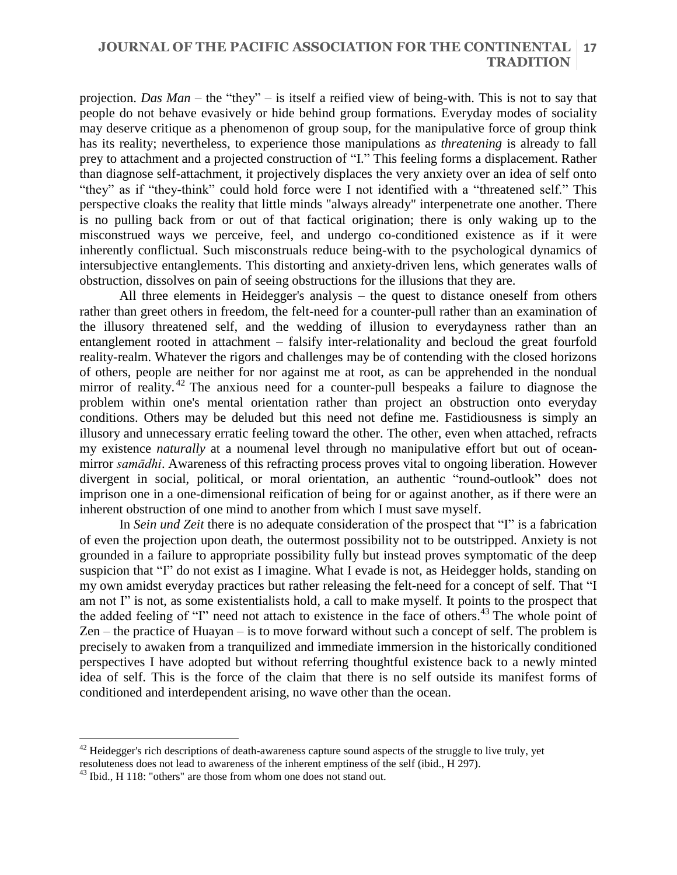### **JOURNAL OF THE PACIFIC ASSOCIATION FOR THE CONTINENTAL 17 TRADITION**

projection. *Das Man* – the "they" – is itself a reified view of being-with. This is not to say that people do not behave evasively or hide behind group formations. Everyday modes of sociality may deserve critique as a phenomenon of group soup, for the manipulative force of group think has its reality; nevertheless, to experience those manipulations a*s threatening* is already to fall prey to attachment and a projected construction of "I." This feeling forms a displacement. Rather than diagnose self-attachment, it projectively displaces the very anxiety over an idea of self onto "they" as if "they-think" could hold force were I not identified with a "threatened self." This perspective cloaks the reality that little minds "always already" interpenetrate one another. There is no pulling back from or out of that factical origination; there is only waking up to the misconstrued ways we perceive, feel, and undergo co-conditioned existence as if it were inherently conflictual. Such misconstruals reduce being-with to the psychological dynamics of intersubjective entanglements. This distorting and anxiety-driven lens, which generates walls of obstruction, dissolves on pain of seeing obstructions for the illusions that they are.

All three elements in Heidegger's analysis – the quest to distance oneself from others rather than greet others in freedom, the felt-need for a counter-pull rather than an examination of the illusory threatened self, and the wedding of illusion to everydayness rather than an entanglement rooted in attachment – falsify inter-relationality and becloud the great fourfold reality-realm. Whatever the rigors and challenges may be of contending with the closed horizons of others, people are neither for nor against me at root, as can be apprehended in the nondual mirror of reality.<sup>42</sup> The anxious need for a counter-pull bespeaks a failure to diagnose the problem within one's mental orientation rather than project an obstruction onto everyday conditions. Others may be deluded but this need not define me. Fastidiousness is simply an illusory and unnecessary erratic feeling toward the other. The other, even when attached, refracts my existence *naturally* at a noumenal level through no manipulative effort but out of oceanmirror *samādhi*. Awareness of this refracting process proves vital to ongoing liberation. However divergent in social, political, or moral orientation, an authentic "round-outlook" does not imprison one in a one-dimensional reification of being for or against another, as if there were an inherent obstruction of one mind to another from which I must save myself.

In *Sein und Zeit* there is no adequate consideration of the prospect that "I" is a fabrication of even the projection upon death, the outermost possibility not to be outstripped. Anxiety is not grounded in a failure to appropriate possibility fully but instead proves symptomatic of the deep suspicion that "I" do not exist as I imagine. What I evade is not, as Heidegger holds, standing on my own amidst everyday practices but rather releasing the felt-need for a concept of self. That "I am not I" is not, as some existentialists hold, a call to make myself. It points to the prospect that the added feeling of "I" need not attach to existence in the face of others. <sup>43</sup> The whole point of Zen – the practice of Huayan – is to move forward without such a concept of self. The problem is precisely to awaken from a tranquilized and immediate immersion in the historically conditioned perspectives I have adopted but without referring thoughtful existence back to a newly minted idea of self. This is the force of the claim that there is no self outside its manifest forms of conditioned and interdependent arising, no wave other than the ocean.

 $42$  Heidegger's rich descriptions of death-awareness capture sound aspects of the struggle to live truly, yet

resoluteness does not lead to awareness of the inherent emptiness of the self (ibid., H 297).

<sup>&</sup>lt;sup>43</sup> Ibid., H 118: "others" are those from whom one does not stand out.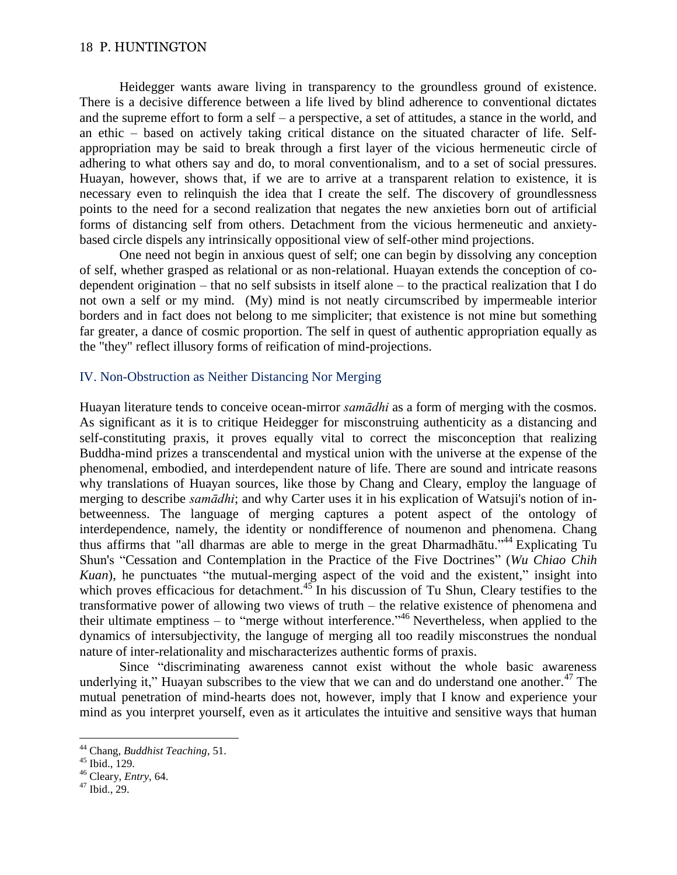Heidegger wants aware living in transparency to the groundless ground of existence. There is a decisive difference between a life lived by blind adherence to conventional dictates and the supreme effort to form a self – a perspective, a set of attitudes, a stance in the world, and an ethic – based on actively taking critical distance on the situated character of life. Selfappropriation may be said to break through a first layer of the vicious hermeneutic circle of adhering to what others say and do, to moral conventionalism, and to a set of social pressures. Huayan, however, shows that, if we are to arrive at a transparent relation to existence, it is necessary even to relinquish the idea that I create the self. The discovery of groundlessness points to the need for a second realization that negates the new anxieties born out of artificial forms of distancing self from others. Detachment from the vicious hermeneutic and anxietybased circle dispels any intrinsically oppositional view of self-other mind projections.

One need not begin in anxious quest of self; one can begin by dissolving any conception of self, whether grasped as relational or as non-relational. Huayan extends the conception of codependent origination – that no self subsists in itself alone – to the practical realization that I do not own a self or my mind. (My) mind is not neatly circumscribed by impermeable interior borders and in fact does not belong to me simpliciter; that existence is not mine but something far greater, a dance of cosmic proportion. The self in quest of authentic appropriation equally as the "they" reflect illusory forms of reification of mind-projections.

### IV. Non-Obstruction as Neither Distancing Nor Merging

Huayan literature tends to conceive ocean-mirror *samādhi* as a form of merging with the cosmos. As significant as it is to critique Heidegger for misconstruing authenticity as a distancing and self-constituting praxis, it proves equally vital to correct the misconception that realizing Buddha-mind prizes a transcendental and mystical union with the universe at the expense of the phenomenal, embodied, and interdependent nature of life. There are sound and intricate reasons why translations of Huayan sources, like those by Chang and Cleary, employ the language of merging to describe *samādhi*; and why Carter uses it in his explication of Watsuji's notion of inbetweenness. The language of merging captures a potent aspect of the ontology of interdependence, namely, the identity or nondifference of noumenon and phenomena. Chang thus affirms that "all dharmas are able to merge in the great Dharmadhatu."<sup>44</sup> Explicating Tu Shun's "Cessation and Contemplation in the Practice of the Five Doctrines" (*Wu Chiao Chih Kuan*), he punctuates "the mutual-merging aspect of the void and the existent," insight into which proves efficacious for detachment. $45$  In his discussion of Tu Shun, Cleary testifies to the transformative power of allowing two views of truth – the relative existence of phenomena and their ultimate emptiness – to "merge without interference."<sup>46</sup> Nevertheless, when applied to the dynamics of intersubjectivity, the languge of merging all too readily misconstrues the nondual nature of inter-relationality and mischaracterizes authentic forms of praxis.

Since "discriminating awareness cannot exist without the whole basic awareness underlying it," Huayan subscribes to the view that we can and do understand one another. $47$  The mutual penetration of mind-hearts does not, however, imply that I know and experience your mind as you interpret yourself, even as it articulates the intuitive and sensitive ways that human

<sup>44</sup> Chang, *Buddhist Teaching*, 51.

 $45$  Ibid.,  $129$ .

<sup>46</sup> Cleary, *Entry,* 64.

 $47$  Ibid., 29.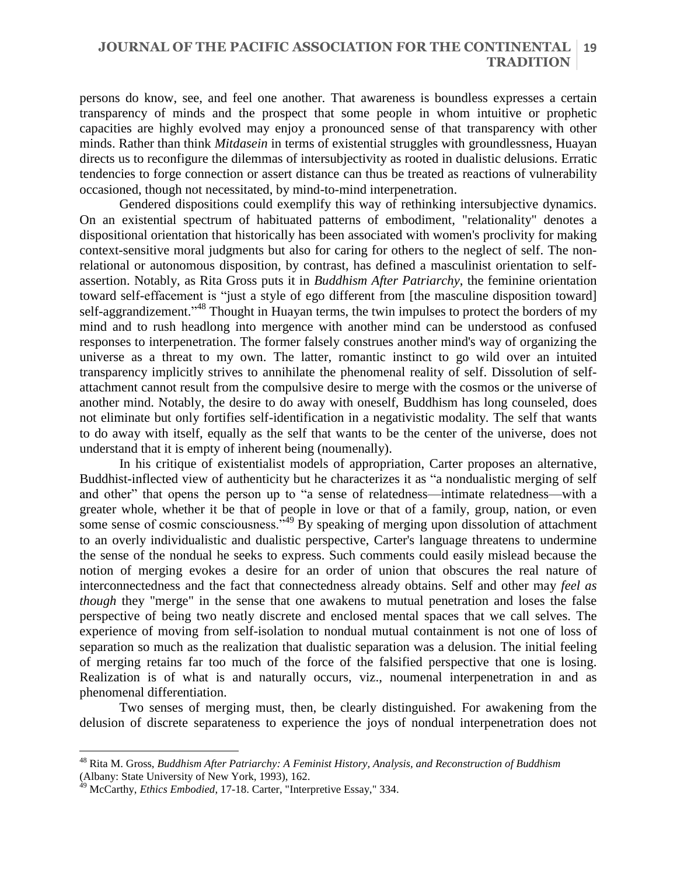#### **JOURNAL OF THE PACIFIC ASSOCIATION FOR THE CONTINENTAL 19 TRADITION**

persons do know, see, and feel one another. That awareness is boundless expresses a certain transparency of minds and the prospect that some people in whom intuitive or prophetic capacities are highly evolved may enjoy a pronounced sense of that transparency with other minds. Rather than think *Mitdasein* in terms of existential struggles with groundlessness, Huayan directs us to reconfigure the dilemmas of intersubjectivity as rooted in dualistic delusions. Erratic tendencies to forge connection or assert distance can thus be treated as reactions of vulnerability occasioned, though not necessitated, by mind-to-mind interpenetration.

Gendered dispositions could exemplify this way of rethinking intersubjective dynamics. On an existential spectrum of habituated patterns of embodiment, "relationality" denotes a dispositional orientation that historically has been associated with women's proclivity for making context-sensitive moral judgments but also for caring for others to the neglect of self. The nonrelational or autonomous disposition, by contrast, has defined a masculinist orientation to selfassertion. Notably, as Rita Gross puts it in *Buddhism After Patriarchy*, the feminine orientation toward self-effacement is "just a style of ego different from [the masculine disposition toward] self-aggrandizement."<sup>48</sup> Thought in Huayan terms, the twin impulses to protect the borders of my mind and to rush headlong into mergence with another mind can be understood as confused responses to interpenetration. The former falsely construes another mind's way of organizing the universe as a threat to my own. The latter, romantic instinct to go wild over an intuited transparency implicitly strives to annihilate the phenomenal reality of self. Dissolution of selfattachment cannot result from the compulsive desire to merge with the cosmos or the universe of another mind. Notably, the desire to do away with oneself, Buddhism has long counseled, does not eliminate but only fortifies self-identification in a negativistic modality. The self that wants to do away with itself, equally as the self that wants to be the center of the universe, does not understand that it is empty of inherent being (noumenally).

In his critique of existentialist models of appropriation, Carter proposes an alternative, Buddhist-inflected view of authenticity but he characterizes it as "a nondualistic merging of self and other" that opens the person up to "a sense of relatedness—intimate relatedness—with a greater whole, whether it be that of people in love or that of a family, group, nation, or even some sense of cosmic consciousness.<sup> $,49$ </sup> By speaking of merging upon dissolution of attachment to an overly individualistic and dualistic perspective, Carter's language threatens to undermine the sense of the nondual he seeks to express. Such comments could easily mislead because the notion of merging evokes a desire for an order of union that obscures the real nature of interconnectedness and the fact that connectedness already obtains. Self and other may *feel as though* they "merge" in the sense that one awakens to mutual penetration and loses the false perspective of being two neatly discrete and enclosed mental spaces that we call selves. The experience of moving from self-isolation to nondual mutual containment is not one of loss of separation so much as the realization that dualistic separation was a delusion. The initial feeling of merging retains far too much of the force of the falsified perspective that one is losing. Realization is of what is and naturally occurs, viz., noumenal interpenetration in and as phenomenal differentiation.

Two senses of merging must, then, be clearly distinguished. For awakening from the delusion of discrete separateness to experience the joys of nondual interpenetration does not

<sup>48</sup> Rita M. Gross, *Buddhism After Patriarchy: A Feminist History, Analysis, and Reconstruction of Buddhism* (Albany: State University of New York, 1993), 162.

<sup>49</sup> McCarthy, *Ethics Embodied*, 17-18. Carter, "Interpretive Essay," 334.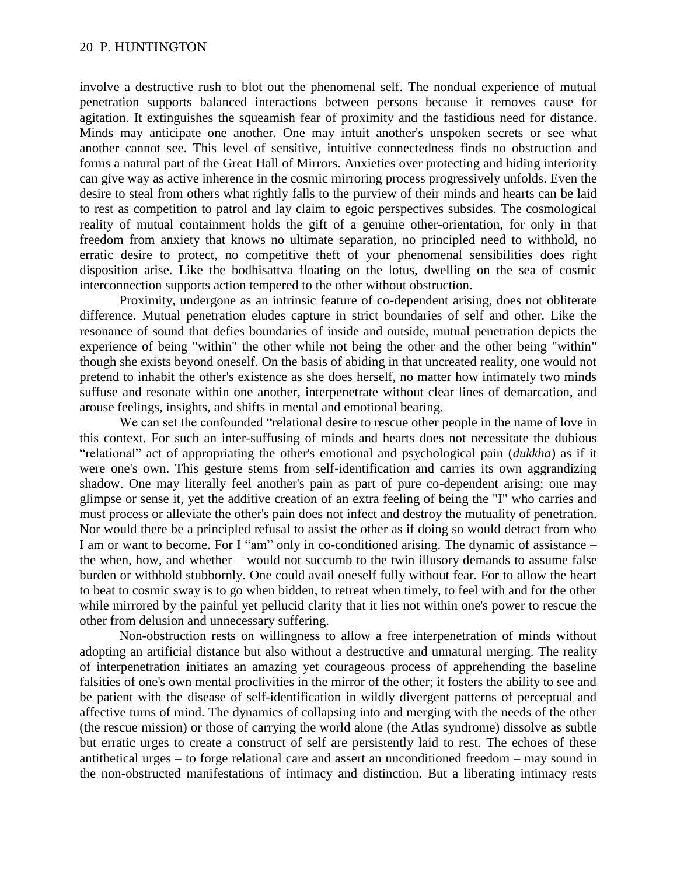involve a destructive rush to blot out the phenomenal self. The nondual experience of mutual penetration supports balanced interactions between persons because it removes cause for agitation. It extinguishes the squeamish fear of proximity and the fastidious need for distance. Minds may anticipate one another. One may intuit another's unspoken secrets or see what another cannot see. This level of sensitive, intuitive connectedness finds no obstruction and forms a natural part of the Great Hall of Mirrors. Anxieties over protecting and hiding interiority can give way as active inherence in the cosmic mirroring process progressively unfolds. Even the desire to steal from others what rightly falls to the purview of their minds and hearts can be laid to rest as competition to patrol and lay claim to egoic perspectives subsides. The cosmological reality of mutual containment holds the gift of a genuine other-orientation, for only in that freedom from anxiety that knows no ultimate separation, no principled need to withhold, no erratic desire to protect, no competitive theft of your phenomenal sensibilities does right disposition arise. Like the bodhisattva floating on the lotus, dwelling on the sea of cosmic interconnection supports action tempered to the other without obstruction.

Proximity, undergone as an intrinsic feature of co-dependent arising, does not obliterate difference. Mutual penetration eludes capture in strict boundaries of self and other. Like the resonance of sound that defies boundaries of inside and outside, mutual penetration depicts the experience of being "within" the other while not being the other and the other being "within" though she exists beyond oneself. On the basis of abiding in that uncreated reality, one would not pretend to inhabit the other's existence as she does herself, no matter how intimately two minds suffuse and resonate within one another, interpenetrate without clear lines of demarcation, and arouse feelings, insights, and shifts in mental and emotional bearing.

We can set the confounded "relational desire to rescue other people in the name of love in this context. For such an inter-suffusing of minds and hearts does not necessitate the dubious "relational" act of appropriating the other's emotional and psychological pain (*dukkha*) as if it were one's own. This gesture stems from self-identification and carries its own aggrandizing shadow. One may literally feel another's pain as part of pure co-dependent arising; one may glimpse or sense it, yet the additive creation of an extra feeling of being the "I" who carries and must process or alleviate the other's pain does not infect and destroy the mutuality of penetration. Nor would there be a principled refusal to assist the other as if doing so would detract from who I am or want to become. For I "am" only in co-conditioned arising. The dynamic of assistance – the when, how, and whether – would not succumb to the twin illusory demands to assume false burden or withhold stubbornly. One could avail oneself fully without fear. For to allow the heart to beat to cosmic sway is to go when bidden, to retreat when timely, to feel with and for the other while mirrored by the painful yet pellucid clarity that it lies not within one's power to rescue the other from delusion and unnecessary suffering.

Non-obstruction rests on willingness to allow a free interpenetration of minds without adopting an artificial distance but also without a destructive and unnatural merging. The reality of interpenetration initiates an amazing yet courageous process of apprehending the baseline falsities of one's own mental proclivities in the mirror of the other; it fosters the ability to see and be patient with the disease of self-identification in wildly divergent patterns of perceptual and affective turns of mind. The dynamics of collapsing into and merging with the needs of the other (the rescue mission) or those of carrying the world alone (the Atlas syndrome) dissolve as subtle but erratic urges to create a construct of self are persistently laid to rest. The echoes of these antithetical urges – to forge relational care and assert an unconditioned freedom – may sound in the non-obstructed manifestations of intimacy and distinction. But a liberating intimacy rests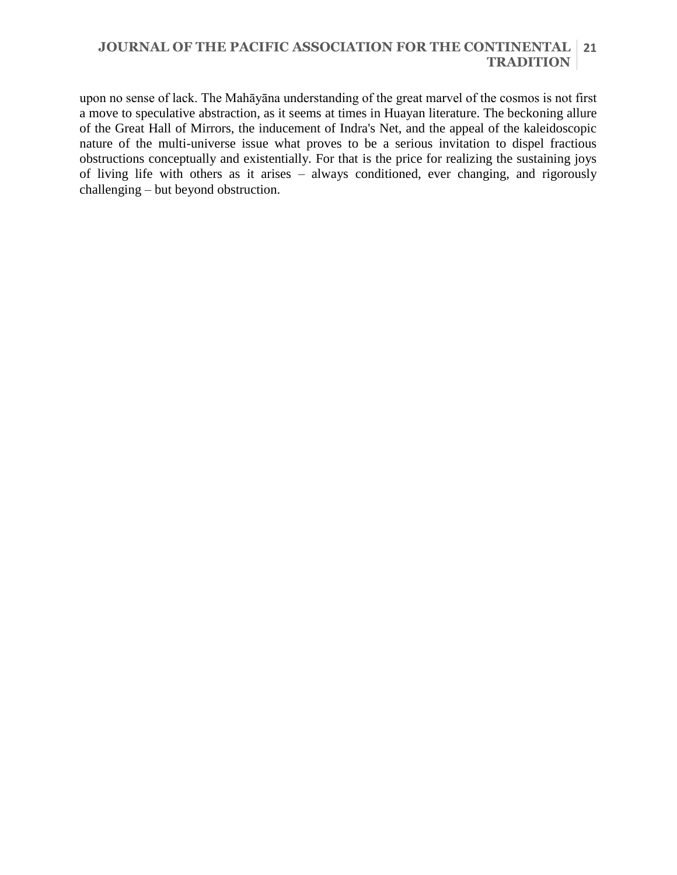# **JOURNAL OF THE PACIFIC ASSOCIATION FOR THE CONTINENTAL 21 TRADITION**

upon no sense of lack. The Mahāyāna understanding of the great marvel of the cosmos is not first a move to speculative abstraction, as it seems at times in Huayan literature. The beckoning allure of the Great Hall of Mirrors, the inducement of Indra's Net, and the appeal of the kaleidoscopic nature of the multi-universe issue what proves to be a serious invitation to dispel fractious obstructions conceptually and existentially. For that is the price for realizing the sustaining joys of living life with others as it arises – always conditioned, ever changing, and rigorously challenging – but beyond obstruction.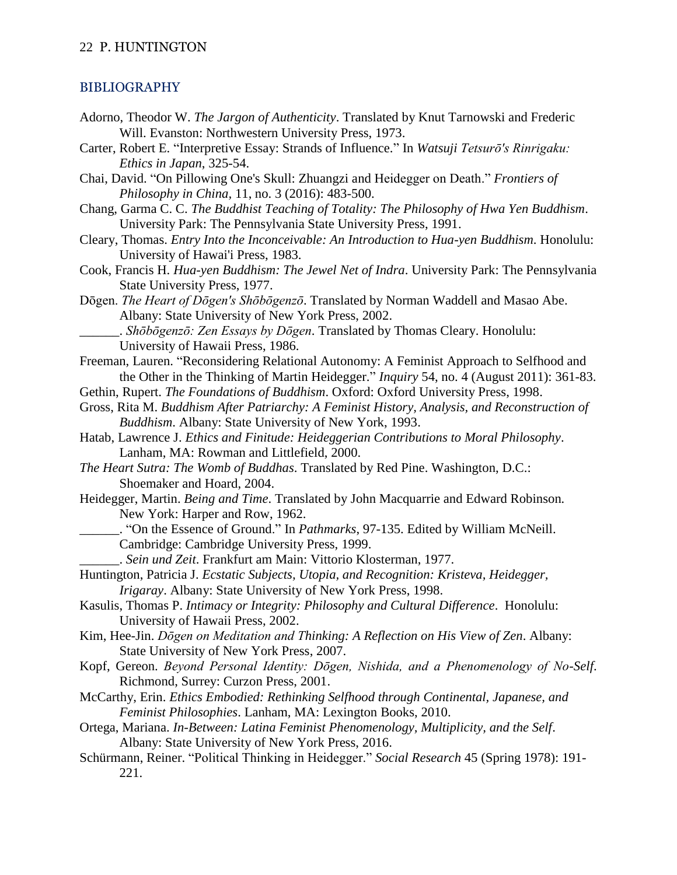# BIBLIOGRAPHY

- Adorno, Theodor W. *The Jargon of Authenticity*. Translated by Knut Tarnowski and Frederic Will. Evanston: Northwestern University Press, 1973.
- Carter, Robert E. "Interpretive Essay: Strands of Influence." In *Watsuji Tetsurō's Rinrigaku: Ethics in Japan*, 325-54.
- Chai, David. "On Pillowing One's Skull: Zhuangzi and Heidegger on Death." *Frontiers of Philosophy in China,* 11, no. 3 (2016): 483-500.
- Chang, Garma C. C. *The Buddhist Teaching of Totality: The Philosophy of Hwa Yen Buddhism*. University Park: The Pennsylvania State University Press, 1991.
- Cleary, Thomas. *Entry Into the Inconceivable: An Introduction to Hua-yen Buddhism*. Honolulu: University of Hawai'i Press, 1983.
- Cook, Francis H. *Hua-yen Buddhism: The Jewel Net of Indra*. University Park: The Pennsylvania State University Press, 1977.
- Dōgen. *The Heart of Dōgen's Shōbōgenzō*. Translated by Norman Waddell and Masao Abe. Albany: State University of New York Press, 2002.
	- \_\_\_\_\_\_. *Shōbōgenzō: Zen Essays by Dōgen*. Translated by Thomas Cleary. Honolulu: University of Hawaii Press, 1986.
- Freeman, Lauren. "Reconsidering Relational Autonomy: A Feminist Approach to Selfhood and the Other in the Thinking of Martin Heidegger." *Inquiry* 54, no. 4 (August 2011): 361-83.
- Gethin, Rupert. *The Foundations of Buddhism*. Oxford: Oxford University Press, 1998.
- Gross, Rita M. *Buddhism After Patriarchy: A Feminist History, Analysis, and Reconstruction of Buddhism*. Albany: State University of New York, 1993.
- Hatab, Lawrence J. *Ethics and Finitude: Heideggerian Contributions to Moral Philosophy*. Lanham, MA: Rowman and Littlefield, 2000.
- *The Heart Sutra: The Womb of Buddhas*. Translated by Red Pine. Washington, D.C.: Shoemaker and Hoard, 2004.
- Heidegger, Martin. *Being and Time*. Translated by John Macquarrie and Edward Robinson*.* New York: Harper and Row, 1962.
- \_\_\_\_\_\_. "On the Essence of Ground." In *Pathmarks*, 97-135. Edited by William McNeill. Cambridge: Cambridge University Press, 1999.
	- \_\_\_\_\_\_. *Sein und Zeit*. Frankfurt am Main: Vittorio Klosterman, 1977.
- Huntington, Patricia J. *Ecstatic Subjects, Utopia, and Recognition: Kristeva, Heidegger, Irigaray*. Albany: State University of New York Press, 1998.
- Kasulis, Thomas P. *Intimacy or Integrity: Philosophy and Cultural Difference*. Honolulu: University of Hawaii Press, 2002.
- Kim, Hee-Jin. *Dōgen on Meditation and Thinking: A Reflection on His View of Zen*. Albany: State University of New York Press, 2007.
- Kopf, Gereon. *Beyond Personal Identity: Dōgen, Nishida, and a Phenomenology of No-Self*. Richmond, Surrey: Curzon Press, 2001.
- McCarthy, Erin. *Ethics Embodied: Rethinking Selfhood through Continental, Japanese, and Feminist Philosophies*. Lanham, MA: Lexington Books, 2010.
- Ortega, Mariana. *In-Between: Latina Feminist Phenomenology, Multiplicity, and the Self*. Albany: State University of New York Press, 2016.
- Schürmann, Reiner. "Political Thinking in Heidegger." *Social Research* 45 (Spring 1978): 191- 221.